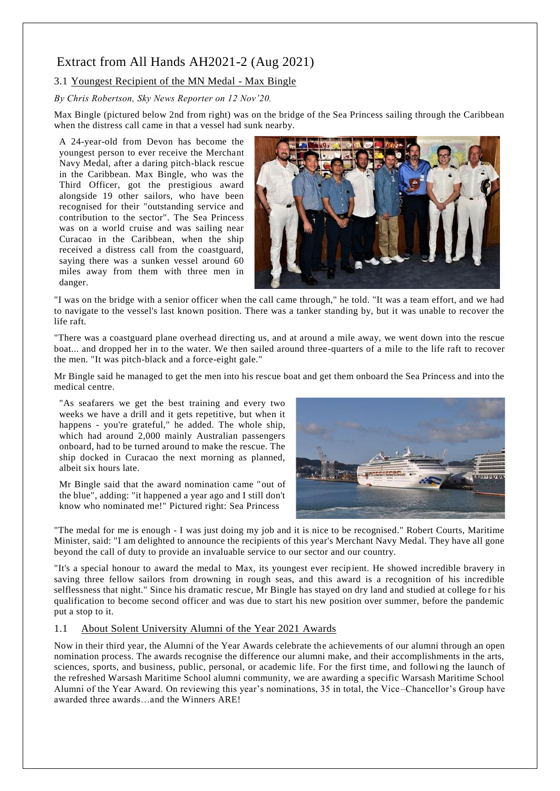# Extract from All Hands AH2021-2 (Aug 2021)

## 3.1 Youngest Recipient of the MN Medal - Max Bingle

*By Chris Robertson, Sky News Reporter on 12 Nov'20.*

Max Bingle (pictured below 2nd from right) was on the bridge of the Sea Princess sailing through the Caribbean when the distress call came in that a vessel had sunk nearby.

A 24-year-old from Devon has become the youngest person to ever receive the Merchant Navy Medal, after a daring pitch-black rescue in the Caribbean. Max Bingle, who was the Third Officer, got the prestigious award alongside 19 other sailors, who have been recognised for their "outstanding service and contribution to the sector". The Sea Princess was on a world cruise and was sailing near Curacao in the Caribbean, when the ship received a distress call from the coastguard, saying there was a sunken vessel around 60 miles away from them with three men in danger.



"I was on the bridge with a senior officer when the call came through," he told. "It was a team effort, and we had to navigate to the vessel's last known position. There was a tanker standing by, but it was unable to recover the life raft.

"There was a coastguard plane overhead directing us, and at around a mile away, we went down into the rescue boat... and dropped her in to the water. We then sailed around three-quarters of a mile to the life raft to recover the men. "It was pitch-black and a force-eight gale."

Mr Bingle said he managed to get the men into his rescue boat and get them onboard the Sea Princess and into the medical centre.

"As seafarers we get the best training and every two weeks we have a drill and it gets repetitive, but when it happens - you're grateful," he added. The whole ship, which had around 2,000 mainly Australian passengers onboard, had to be turned around to make the rescue. The ship docked in Curacao the next morning as planned, albeit six hours late.

Mr Bingle said that the award nomination came "out of the blue", adding: "it happened a year ago and I still don't know who nominated me!" Pictured right: Sea Princess



"The medal for me is enough - I was just doing my job and it is nice to be recognised." Robert Courts, Maritime Minister, said: "I am delighted to announce the recipients of this year's Merchant Navy Medal. They have all gone beyond the call of duty to provide an invaluable service to our sector and our country.

"It's a special honour to award the medal to Max, its youngest ever recipient. He showed incredible bravery in saving three fellow sailors from drowning in rough seas, and this award is a recognition of his incredible selflessness that night." Since his dramatic rescue, Mr Bingle has stayed on dry land and studied at college for his qualification to become second officer and was due to start his new position over summer, before the pandemic put a stop to it.

### 1.1 About Solent University Alumni of the Year 2021 Awards

Now in their third year, the Alumni of the Year Awards celebrate the achievements of our alumni through an open nomination process. The awards recognise the difference our alumni make, and their accomplishments in the arts, sciences, sports, and business, public, personal, or academic life. For the first time, and following the launch of the refreshed Warsash Maritime School alumni community, we are awarding a specific Warsash Maritime School Alumni of the Year Award. On reviewing this year's nominations, 35 in total, the Vice –Chancellor's Group have awarded three awards…and the Winners ARE!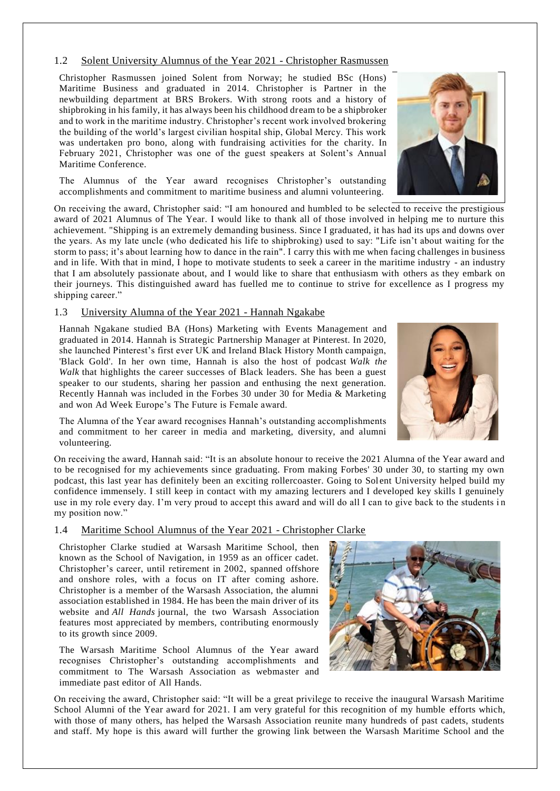#### 1.2 Solent University Alumnus of the Year 2021 - Christopher Rasmussen

Christopher Rasmussen joined Solent from Norway; he studied BSc (Hons) Maritime Business and graduated in 2014. Christopher is Partner in the newbuilding department at BRS Brokers. With strong roots and a history of shipbroking in his family, it has always been his childhood dream to be a shipbroker and to work in the maritime industry. Christopher's recent work involved brokering the building of the world's largest civilian hospital ship, Global Mercy. This work was undertaken pro bono, along with fundraising activities for the charity. In February 2021, Christopher was one of the guest speakers at Solent's Annual Maritime Conference.

The Alumnus of the Year award recognises Christopher's outstanding accomplishments and commitment to maritime business and alumni volunteering.

On receiving the award, Christopher said: "I am honoured and humbled to be selected to receive the prestigious award of 2021 Alumnus of The Year. I would like to thank all of those involved in helping me to nurture this achievement. "Shipping is an extremely demanding business. Since I graduated, it has had its ups and downs over the years. As my late uncle (who dedicated his life to shipbroking) used to say: "Life isn't about waiting for the storm to pass; it's about learning how to dance in the rain". I carry this with me when facing challenges in business and in life. With that in mind, I hope to motivate students to seek a career in the maritime industry - an industry that I am absolutely passionate about, and I would like to share that enthusiasm with others as they embark on their journeys. This distinguished award has fuelled me to continue to strive for excellence as I progress my shipping career."

#### 1.3 University Alumna of the Year 2021 - Hannah Ngakabe

Hannah Ngakane studied BA (Hons) Marketing with Events Management and graduated in 2014. Hannah is Strategic Partnership Manager at Pinterest. In 2020, she launched Pinterest's first ever UK and Ireland Black History Month campaign, 'Black Gold'. In her own time, Hannah is also the host of podcast *Walk the Walk* that highlights the career successes of Black leaders. She has been a guest speaker to our students, sharing her passion and enthusing the next generation. Recently Hannah was included in the Forbes 30 under 30 for Media & Marketing and won Ad Week Europe's The Future is Female award.

The Alumna of the Year award recognises Hannah's outstanding accomplishments and commitment to her career in media and marketing, diversity, and alumni volunteering.

On receiving the award, Hannah said: "It is an absolute honour to receive the 2021 Alumna of the Year award and to be recognised for my achievements since graduating. From making Forbes' 30 under 30, to starting my own podcast, this last year has definitely been an exciting rollercoaster. Going to Solent University helped build my confidence immensely. I still keep in contact with my amazing lecturers and I developed key skills I genuinely use in my role every day. I'm very proud to accept this award and will do all I can to give back to the students in my position now."

### 1.4 Maritime School Alumnus of the Year 2021 - Christopher Clarke

Christopher Clarke studied at Warsash Maritime School, then known as the School of Navigation, in 1959 as an officer cadet. Christopher's career, until retirement in 2002, spanned offshore and onshore roles, with a focus on IT after coming ashore. Christopher is a member of the Warsash Association, the alumni association established in 1984. He has been the main driver of its website and *All Hands* journal, the two Warsash Association features most appreciated by members, contributing enormously to its growth since 2009.

The Warsash Maritime School Alumnus of the Year award recognises Christopher's outstanding accomplishments and commitment to The Warsash Association as webmaster and immediate past editor of All Hands.

On receiving the award, Christopher said: "It will be a great privilege to receive the inaugural Warsash Maritime School Alumni of the Year award for 2021. I am very grateful for this recognition of my humble efforts which, with those of many others, has helped the Warsash Association reunite many hundreds of past cadets, students and staff. My hope is this award will further the growing link between the Warsash Maritime School and the